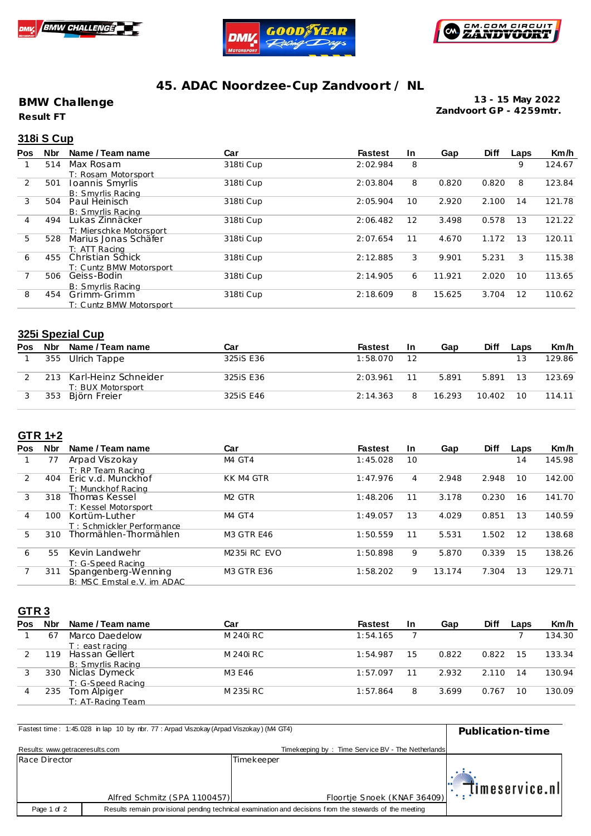





# **45. ADAC Noordzee-Cup Zandvoort / NL**

# **BMW Challenge**

**13 - 15 May 2022 Zandvoort GP - 4259mtr.**

**Result FT**

|            | <b>318i S Cup</b> |                         |           |                |    |        |             |      |        |  |
|------------|-------------------|-------------------------|-----------|----------------|----|--------|-------------|------|--------|--|
| <b>Pos</b> | <b>Nbr</b>        | Name / Team name        | Car       | <b>Fastest</b> | In | Gap    | <b>Diff</b> | Laps | Km/h   |  |
|            | 514               | Max Rosam               | 318ti Cup | 2:02.984       | 8  |        |             | 9    | 124.67 |  |
|            |                   | T: Rosam Motorsport     |           |                |    |        |             |      |        |  |
| 2          | 501               | Ioannis Smyrlis         | 318ti Cup | 2:03.804       | 8  | 0.820  | 0.820       | 8    | 123.84 |  |
|            |                   | B: Smyrlis Racing       |           |                |    |        |             |      |        |  |
| 3          | 504               | Paul Heinisch           | 318ti Cup | 2:05.904       | 10 | 2.920  | 2.100       | 14   | 121.78 |  |
|            |                   | B: Smyrlis Racing       |           |                |    |        |             |      |        |  |
| 4          | 494               | Lukas Zinnäcker         | 318ti Cup | 2:06.482       | 12 | 3.498  | 0.578       | 13   | 121.22 |  |
|            |                   | T: Mierschke Motorsport |           |                |    |        |             |      |        |  |
| 5          | 528               | Marius Jonas Schäfer    | 318ti Cup | 2:07.654       | 11 | 4.670  | 1.172       | 13   | 120.11 |  |
|            |                   | T: ATT Racing           |           |                |    |        |             |      |        |  |
| 6          | 455               | Christian Schick        | 318ti Cup | 2:12.885       | 3  | 9.901  | 5.231       | 3    | 115.38 |  |
|            |                   | T: Cuntz BMW Motorsport |           |                |    |        |             |      |        |  |
|            | 506               | Geiss-Bodin             | 318ti Cup | 2:14.905       | 6  | 11.921 | 2.020       | 10   | 113.65 |  |
|            |                   | B: Smyrlis Racing       |           |                |    |        |             |      |        |  |
| 8          | 454               | Grimm-Grimm             | 318ti Cup | 2:18.609       | 8  | 15.625 | 3.704       | 12   | 110.62 |  |
|            |                   | T: Cuntz BMW Motorsport |           |                |    |        |             |      |        |  |

### **325i Spezial Cup**

| Pos | <b>Nbr</b> | Name / Team name                              | Car        | <b>Fastest</b> | -In | Gap    | Diff   | Laps | Km/h   |
|-----|------------|-----------------------------------------------|------------|----------------|-----|--------|--------|------|--------|
|     |            | 355 Ulrich Tappe                              | 325iS E36  | 1:58.070       |     |        |        | 13   | 129.86 |
|     |            | 213 Karl-Heinz Schneider<br>T: BUX Motorsport | 325 iS E36 | 2:03.961       |     | 5.891  | 5.891  | 13   | 123.69 |
|     | 353        | Biörn Freier                                  | 325 iS E46 | 2:14.363       |     | 16.293 | 10.402 | 10   | 114.11 |

#### **GTR 1+2**

| <b>Pos</b> | <b>Nbr</b> | Name / Team name           | Car                     | <b>Fastest</b> | In. | Gap    | <b>Diff</b> | Laps | Km/h   |
|------------|------------|----------------------------|-------------------------|----------------|-----|--------|-------------|------|--------|
|            | 77         | Arpad Viszokay             | M4 GT4                  | 1:45.028       | 10  |        |             | 14   | 145.98 |
|            |            | T: RP Team Racing          |                         |                |     |        |             |      |        |
| 2          | 404        | Eric v.d. Munckhof         | KK M4 GTR               | 1:47.976       | 4   | 2.948  | 2.948       | 10   | 142.00 |
|            |            | T: Munckhof Racing         |                         |                |     |        |             |      |        |
| 3          | 318        | Thomas Kessel              | M <sub>2</sub> GTR      | 1:48.206       | 11  | 3.178  | 0.230       | 16   | 141.70 |
|            |            | T: Kessel Motorsport       |                         |                |     |        |             |      |        |
| 4          | 100        | Kortüm-Luther              | M4 GT4                  | 1:49.057       | 13  | 4.029  | 0.851       | 13   | 140.59 |
|            |            | T: Schmickler Performance  |                         |                |     |        |             |      |        |
| 5          | 310        | Thormählen-Thormählen      | <b>M3 GTR E46</b>       | 1:50.559       | 11  | 5.531  | 1.502       | 12   | 138.68 |
|            |            |                            |                         |                |     |        |             |      |        |
| 6          | 55         | Kevin Landwehr             | M <sub>235</sub> RC EVO | 1:50.898       | 9   | 5.870  | 0.339       | 15   | 138.26 |
|            |            | T: G-Speed Racing          |                         |                |     |        |             |      |        |
|            | 311        | Spangenberg-Wenning        | <b>M3 GTR E36</b>       | 1:58.202       | 9   | 13.174 | 7.304       | 13   | 129.71 |
|            |            | B: MSC Emstal e.V. im ADAC |                         |                |     |        |             |      |        |

#### **GTR 3**

| Pos | <b>Nbr</b> | Name / Team name                   | Car       | <b>Fastest</b> | -In | Gap   | <b>Diff</b> | Laps | Km/h   |
|-----|------------|------------------------------------|-----------|----------------|-----|-------|-------------|------|--------|
|     | 67         | Marco Daedelow                     | M 240i RC | 1:54.165       |     |       |             |      | 134.30 |
|     |            | $T:$ east racing                   |           |                |     |       |             |      |        |
|     | 119        | Hassan Gellert                     | M 240i RC | 1:54.987       | 15  | 0.822 | 0.822       | 15   | 133.34 |
|     |            |                                    |           |                |     |       |             |      |        |
|     | 330        | B: Smyrlis Racing<br>Niclas Dymeck | M3 E46    | 1:57.097       |     | 2.932 | 2.110       | 14   | 130.94 |
|     |            | T: G-Speed Racing                  |           |                |     |       |             |      |        |
|     | 235        | Tom Alpiger                        | M 235i RC | 1:57.864       | 8   | 3.699 | 0.767       | 10   | 130.09 |
|     |            | T: AT-Racing Team                  |           |                |     |       |             |      |        |

| Fastest time: 1:45.028 in lap 10 by rbr. 77: Arpad Viszokay (Arpad Viszokay) (M4 GT4) | Publication-time             |                                                                                                         |                                          |
|---------------------------------------------------------------------------------------|------------------------------|---------------------------------------------------------------------------------------------------------|------------------------------------------|
| Results: www.getraceresults.com                                                       |                              | Timekeeping by: Time Service BV - The Netherlands                                                       |                                          |
| Race Director                                                                         |                              | Timekeeper                                                                                              |                                          |
|                                                                                       |                              |                                                                                                         | $\mathbb{E}$ $\mathbb{I}$ imeservice.nll |
|                                                                                       | Alfred Schmitz (SPA 1100457) | Floortje Snoek (KNAF 36409)                                                                             |                                          |
| Page 1 of 2                                                                           |                              | Results remain provisional pending technical examination and decisions from the stewards of the meeting |                                          |